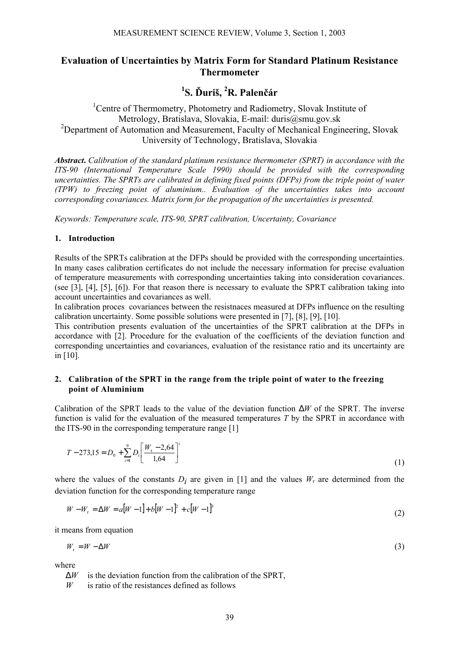## **Evaluation of Uncertainties by Matrix Form for Standard Platinum Resistance Thermometer**

# **1 S. Ďuriš, 2 R. Palenčár**

<sup>1</sup>Centre of Thermometry, Photometry and Radiometry, Slovak Institute of Metrology, Bratislava, Slovakia, E-mail: duris@smu.gov.sk <sup>2</sup>Department of Automation and Measurement, Faculty of Mechanical Engineering, Slovak University of Technology, Bratislava, Slovakia

*Abstract***.** *Calibration of the standard platinum resistance thermometer (SPRT) in accordance with the ITS-90 (International Temperature Scale 1990) should be provided with the corresponding uncertainties. The SPRTs are calibrated in defining fixed points (DFPs) from the triple point of water (TPW) to freezing point of aluminium.. Evaluation of the uncertainties takes into account corresponding covariances. Matrix form for the propagation of the uncertainties is presented.* 

*Keywords: Temperature scale, ITS-90, SPRT calibration, Uncertainty, Covariance* 

#### **1. Introduction**

Results of the SPRTs calibration at the DFPs should be provided with the corresponding uncertainties. In many cases calibration certificates do not include the necessary information for precise evaluation of temperature measurements with corresponding uncertainties taking into consideration covariances. (see [3], [4], [5], [6]). For that reason there is necessary to evaluate the SPRT calibration taking into account uncertainties and covariances as well.

In calibration proces covariances between the resistnaces measured at DFPs influence on the resulting calibration uncertainty. Some possible solutions were presented in [7], [8], [9], [10].

This contribution presents evaluation of the uncertainties of the SPRT calibration at the DFPs in accordance with [2]. Procedure for the evaluation of the coefficients of the deviation function and corresponding uncertainties and covariances, evaluation of the resistance ratio and its uncertainty are in [10].

#### **2. Calibration of the SPRT in the range from the triple point of water to the freezing point of Aluminium**

Calibration of the SPRT leads to the value of the deviation function ∆*W* of the SPRT. The inverse function is valid for the evaluation of the measured temperatures *T* by the SPRT in accordance with the ITS-90 in the corresponding temperature range [1]

$$
T - 273,15 = D_0 + \sum_{i=1}^{9} D_i \left[ \frac{W_r - 2.64}{1.64} \right]^i
$$
 (1)

where the values of the constants  $D_i$  are given in [1] and the values  $W_r$  are determined from the deviation function for the corresponding temperature range

$$
W - W_r = \Delta W = a[W - 1] + b[W - 1]^2 + c[W - 1]^3
$$
\n(2)

it means from equation

$$
W_r = W - \Delta W \tag{3}
$$

where

∆*W* is the deviation function from the calibration of the SPRT,

*W* is ratio of the resistances defined as follows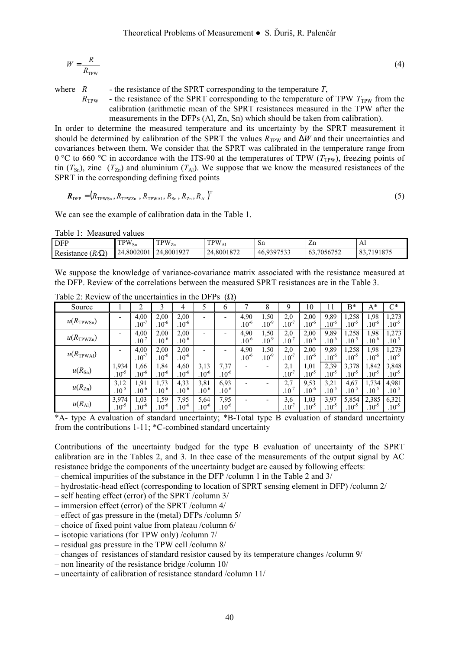$$
W = \frac{R}{R_{\text{TPW}}} \tag{4}
$$

where  $R$  - the resistance of the SPRT corresponding to the temperature  $T$ ,

 $R_{\text{TPW}}$  - the resistance of the SPRT corresponding to the temperature of TPW  $T_{\text{TPW}}$  from the calibration (arithmetic mean of the SPRT resistances measured in the TPW after the measurements in the DFPs (Al, Zn, Sn) which should be taken from calibration).

In order to determine the measured temperature and its uncertainty by the SPRT measurement it should be determined by calibration of the SPRT the values  $R_{TPW}$  and  $\Delta W$  and their uncertainties and covariances between them. We consider that the SPRT was calibrated in the temperature range from 0 °C to 660 °C in accordance with the ITS-90 at the temperatures of TPW ( $T_{\text{TPW}}$ ), freezing points of tin  $(T_{\text{Sn}})$ , zinc  $(T_{\text{Zn}})$  and aluminium  $(T_{\text{Al}})$ . We suppose that we know the measured resistances of the SPRT in the corresponding defining fixed points

$$
\boldsymbol{R}_{\text{DFP}} = (R_{\text{TPWSn}}, R_{\text{TPWZn}}, R_{\text{TPWA1}}, R_{\text{Sn}}, R_{\text{Zn}}, R_{\text{Al}})^{\text{T}}
$$
(5)

We can see the example of calibration data in the Table 1.

Table 1: Measured values

| <b>DFP</b>                 | $TPW_{Sn}$ | $TPW_{Zn}$       | $\mathrm{TPW}_{\mathrm{Al}}$ | Sn         | ∠.⊔             | Al             |
|----------------------------|------------|------------------|------------------------------|------------|-----------------|----------------|
| $(R/\Omega)$<br>Resistance | 24.8002001 | +.8001927<br>24. | 24.8001872                   | 46,9397533 | .7056752<br>63. | .7191875<br>83 |

We suppose the knowledge of variance-covariance matrix associated with the resistance measured at the DFP. Review of the correlations between the measured SPRT resistances are in the Table 3.

| Source                |                          | $\overline{2}$ | 3          | 4          |                | 6                        | Η          | 8                        | 9          | 10         | 11         | $B^*$      | $A^*$      | $\mathrm{C}^*$ |
|-----------------------|--------------------------|----------------|------------|------------|----------------|--------------------------|------------|--------------------------|------------|------------|------------|------------|------------|----------------|
| $u(R_{\text{TPWSn}})$ | $\overline{\phantom{0}}$ | 4,00           | 2,00       | 2,00       | $\blacksquare$ | $\overline{\phantom{a}}$ | 4,90       | 1,50                     | 2,0        | 2,00       | 9,89       | ,258       | 1,98       | 1,273          |
|                       |                          | $.10^{-7}$     | $.10^{-6}$ | $.10^{-6}$ |                |                          | $.10^{-6}$ | $.10^{-9}$               | $.10^{-7}$ | $.10^{-6}$ | $.10^{-6}$ | $.10^{-5}$ | $.10^{-6}$ | $.10^{-5}$     |
| $u(R_{\text{TPWZn}})$ |                          | 4,00           | 2,00       | 2,00       |                | $\overline{\phantom{a}}$ | 4,90       | 1,50                     | 2,0        | 2,00       | 9,89       | ,258       | 1,98       | 1,273          |
|                       |                          | $.10^{-7}$     | $.10^{-6}$ | $.10^{-6}$ |                |                          | $.10^{-6}$ | $.10^{-9}$               | $.10^{-7}$ | $.10^{-6}$ | $.10^{-6}$ | $.10^{-5}$ | $.10^{-6}$ | $.10^{-5}$     |
| $u(R_{\rm TPWAI})$    |                          | 4,00           | 2,00       | 2,00       |                | ٠                        | 4,90       | 1.50                     | 2,0        | 2,00       | 9,89       | .,258      | 1,98       | 1,273          |
|                       |                          | $.10^{-7}$     | $.10^{-6}$ | $10^{-6}$  |                |                          | $.10^{-6}$ | $.10^{-9}$               | $.10^{-7}$ | $.10^{-6}$ | $.10^{-6}$ | $.10^{-5}$ | $.10^{-6}$ | $.10^{-5}$     |
| $u(R_{\rm Sn})$       | 1,934                    | 1,66           | 1,84       | 4,60       | 3,13           | 7,37                     |            |                          | 2,1        | 1,01       | 2,39       | 3,378      | 1,842      | 3,848          |
|                       | $.10^{-5}$               | $.10^{-6}$     | $.10^{-6}$ | $10^{-6}$  | $.10^{-6}$     | $.10^{-6}$               |            |                          | $.10^{-7}$ | $.10^{-5}$ | $.10^{-5}$ | $.10^{-5}$ | $.10^{-5}$ | $.10^{-5}$     |
| $u(R_{Zn})$           | 3,12                     | 1,91           | 1,73       | 4,33       | 3,81           | 6,93                     |            | $\overline{\phantom{a}}$ | 2,7        | 9,53       | 3,21       | 4,67       | 1,734      | 4,981          |
|                       | $.10^{-5}$               | $.10^{-6}$     | $.10^{-6}$ | $.10^{-6}$ | $.10^{-6}$     | $.10^{-6}$               |            |                          | $.10^{-7}$ | $.10^{-6}$ | $.10^{-5}$ | $.10^{-5}$ | $.10^{-5}$ | $.10^{-5}$     |
| $u(R_{Al})$           | 3,974                    | 1,03           | 1.59       | 7.95       | 5,64           | 7,95                     |            | $\overline{\phantom{a}}$ | 3,6        | 1,03       | 3,97       | 5,854      | 2,385      | 6,321          |
|                       | $10^{-5}$                | $10^{-6}$      | $.10^{-6}$ | $10^{-6}$  | $.10^{-6}$     | $.10^{-6}$               |            |                          | $10^{-7}$  | $.10^{-5}$ | $.10^{-5}$ | $.10^{-5}$ | $.10^{-5}$ | $.10^{-5}$     |

Table 2: Review of the uncertainties in the DFPs  $(\Omega)$ 

\*A- type A evaluation of standard uncertainty; \*B-Total type B evaluation of standard uncertainty from the contributions 1-11; \*C-combined standard uncertainty

Contributions of the uncertainty budged for the type B evaluation of uncertainty of the SPRT calibration are in the Tables 2, and 3. In thee case of the measurements of the output signal by AC resistance bridge the components of the uncertainty budget are caused by following effects:

– chemical impurities of the substance in the DFP /column 1 in the Table 2 and 3/

- hydrostatic-head effect (corresponding to location of SPRT sensing element in DFP) /column 2/
- self heating effect (error) of the SPRT /column 3/
- immersion effect (error) of the SPRT /column 4/
- effect of gas pressure in the (metal) DFPs /column 5/
- choice of fixed point value from plateau /column 6/
- isotopic variations (for TPW only) /column 7/
- residual gas pressure in the TPW cell /column 8/
- changes of resistances of standard resistor caused by its temperature changes /column 9/
- non linearity of the resistance bridge /column 10/
- uncertainty of calibration of resistance standard /column 11/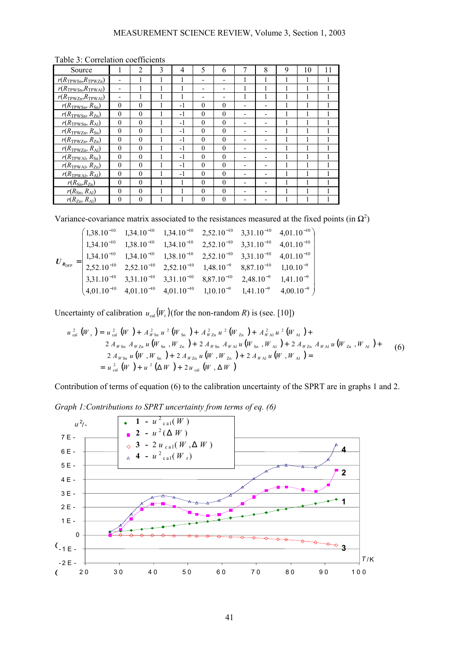| Source                                  |          | $\overline{2}$ | 3 | 4    | 5        | 6        | 7 | 8                        | 9 | 10 | 11 |
|-----------------------------------------|----------|----------------|---|------|----------|----------|---|--------------------------|---|----|----|
| $r(R_{\text{TPWSn}}, R_{\text{TPWZn}})$ |          |                |   |      |          |          |   |                          |   |    |    |
| $r(R_{\text{TPWSn}}, R_{\text{TPWAI}})$ |          |                |   |      |          |          |   |                          |   |    |    |
| $r(R_{TPWZn}, R_{TPWAl})$               |          |                |   |      |          |          |   |                          |   |    |    |
| $r(R_{\text{TPWSn}}, R_{\text{Sn}})$    | $\theta$ | $\theta$       |   | $-1$ | $\Omega$ | $\theta$ |   |                          |   |    |    |
| $r(R_{\text{TPWSn}}, R_{\text{Zn}})$    | $\theta$ | $\theta$       |   | $-1$ | $\Omega$ | $\theta$ |   | $\overline{\phantom{0}}$ |   |    |    |
| $r(R_{\text{TPWSn}}, R_{\text{Al}})$    | $\theta$ | $\theta$       |   | $-1$ | $\Omega$ | $\Omega$ |   |                          |   |    |    |
| $r(R_{TPWZn}, R_{Sn})$                  | $\theta$ | $\theta$       |   | -1   | $\theta$ | $\theta$ |   |                          |   |    |    |
| $r(R_{\text{TPWZn}}, R_{\text{Zn}})$    | $\theta$ | $\theta$       |   | -1   | $\Omega$ | $\theta$ |   |                          |   |    |    |
| $r(R_{\text{TPWZn}}, R_{\text{Al}})$    | $\theta$ | $\theta$       |   | $-1$ | $\Omega$ | $\theta$ |   | $\overline{\phantom{0}}$ |   |    |    |
| $r(R_{TPWAl}, R_{Sn})$                  | $\theta$ | $\theta$       |   | $-1$ | $\Omega$ | $\Omega$ |   |                          |   |    |    |
| $r(R_{TPWAI}, R_{Zn})$                  | $\theta$ | $\theta$       |   | -1   | $\theta$ | $\theta$ |   |                          |   |    |    |
| $r(R_{TPWAI}, R_{Al})$                  | $\Omega$ | $\Omega$       |   | $-1$ | $\Omega$ | $\Omega$ |   |                          |   |    |    |
| $r(R_{\rm Sn}, R_{\rm Zn})$             | $\Omega$ | $\theta$       |   |      | $\Omega$ | $\Omega$ |   |                          |   |    |    |
| $r(R_{\rm Sn}, R_{\rm Al})$             | $\theta$ | $\theta$       |   |      | $\Omega$ | 0        |   |                          |   |    |    |
| $r(R_{\text{Zn}}, R_{\text{Al}})$       | $\theta$ | $\theta$       |   |      | $\Omega$ | $\theta$ |   |                          |   |    |    |

Table 3: Correlation coefficients

Variance-covariance matrix associated to the resistances measured at the fixed points (in  $\Omega^2$ )

$$
\boldsymbol{U}_{R_{\text{DFP}}} = \begin{pmatrix} 1,38.10^{-10} & 1,34.10^{-10} & 1,34.10^{-10} & 2,52.10^{-10} & 3,31.10^{-10} & 4,01.10^{-10} \\ 1,34.10^{-10} & 1,38.10^{-10} & 1,34.10^{-10} & 2,52.10^{-10} & 3,31.10^{-10} & 4,01.10^{-10} \\ 1,34.10^{-10} & 1,34.10^{-10} & 1,38.10^{-10} & 2,52.10^{-10} & 3,31.10^{-10} & 4,01.10^{-10} \\ 2,52.10^{-10} & 2,52.10^{-10} & 2,52.10^{-10} & 1,48.10^{-9} & 8,87.10^{-10} & 1,10.10^{-9} \\ 3,31.10^{-10} & 3,31.10^{-10} & 3,31.10^{-10} & 8,87.10^{-10} & 2,48.10^{-9} & 1,41.10^{-9} \\ 4,01.10^{-10} & 4,01.10^{-10} & 4,01.10^{-10} & 1,10.10^{-9} & 1,41.10^{-9} & 4,00.10^{-9} \end{pmatrix}
$$

Uncertainty of calibration  $u_{cal}(W_r)$  (for the non-random *R*) is (see. [10])

$$
u_{\text{cal}}^{2}\left(W_{r}\right) = u_{\text{cal}}^{2}\left(W\right) + A_{W\text{sn}}^{2}u^{2}\left(W_{\text{sn}}\right) + A_{W\text{zn}}^{2}u^{2}\left(W_{\text{zn}}\right) + A_{W\text{Al}}^{2}u^{2}\left(W_{\text{Al}}\right) +
$$
\n
$$
2A_{W\text{sn}}A_{W\text{zn}}u\left(W_{\text{sn}}\right), W_{\text{zn}}\right) + 2A_{W\text{sn}}A_{W\text{Al}}u\left(W_{\text{sn}}\right), W_{\text{Al}}\right) + 2A_{W\text{zn}}A_{W\text{Al}}u\left(W_{\text{zn}}\right), W_{\text{Al}}\right) +
$$
\n
$$
2A_{W\text{sn}}u\left(W_{r}\right), W_{\text{sn}}\right) + 2A_{W\text{zn}}u\left(W_{r}\right), W_{\text{zn}}\right) + 2A_{W\text{Al}}u\left(W_{r}\right), W_{\text{Al}}\right) =
$$
\n
$$
= u_{\text{cal}}^{2}\left(W\right) + u^{2}\left(\Delta W\right) + 2u_{\text{cal}}\left(W_{r}\Delta W\right)
$$
\n(6)

Contribution of terms of equation (6) to the calibration uncertainty of the SPRT are in graphs 1 and 2.

*Graph 1:Contributions to SPRT uncertainty from terms of eq. (6)*